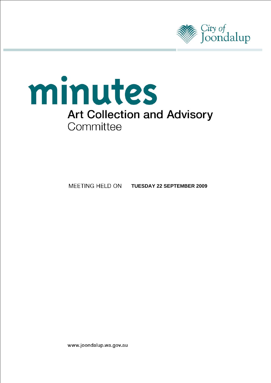



**MEETING HELD ON TUESDAY 22 SEPTEMBER 2009** 

www.joondalup.wa.gov.au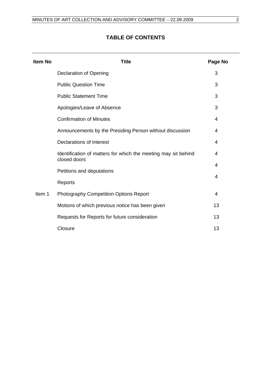# **Item No Title Page No**  Declaration of Opening 3 Public Question Time 3 Public Statement Time 3 Apologies/Leave of Absence 3 [Confirmation of Minutes 4](#page-3-0)  [Announcements by the Presiding Person without discussion 4](#page-3-0)  Declarations of Interest 4 [Identification of matters for which the meeting may sit behind](#page-3-0)  closed doors 4 [Petitions and deputations](#page-3-0)  4 Reports 4 Item 1 [Photography Competition Options Report 4](#page-3-0)  Motions of which previous notice has been given 13 Requests for Reports for future consideration 13 Closure that the contract of the contract of the contract of the contract of the contract of the contract of the contract of the contract of the contract of the contract of the contract of the contract of the contract of t

# **TABLE OF CONTENTS**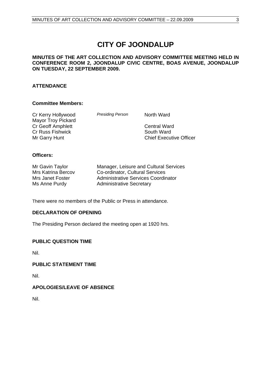# **CITY OF JOONDALUP**

# <span id="page-2-0"></span>**MINUTES OF THE ART COLLECTION AND ADVISORY COMMITTEE MEETING HELD IN CONFERENCE ROOM 2, JOONDALUP CIVIC CENTRE, BOAS AVENUE, JOONDALUP ON TUESDAY, 22 SEPTEMBER 2009.**

# **ATTENDANCE**

# **Committee Members:**

| <b>Presiding Person</b> | North Ward                        |
|-------------------------|-----------------------------------|
|                         | <b>Central Ward</b><br>South Ward |
|                         | <b>Chief Executive Officer</b>    |
|                         |                                   |

# **Officers:**

| Mr Gavin Taylor    | Manager, Leisure and Cultural Services |
|--------------------|----------------------------------------|
| Mrs Katrina Bercov | Co-ordinator, Cultural Services        |
| Mrs Janet Foster   | Administrative Services Coordinator    |
| Ms Anne Purdy      | <b>Administrative Secretary</b>        |

There were no members of the Public or Press in attendance.

# **DECLARATION OF OPENING**

The Presiding Person declared the meeting open at 1920 hrs.

## **PUBLIC QUESTION TIME**

Nil.

### **PUBLIC STATEMENT TIME**

Nil.

# **APOLOGIES/LEAVE OF ABSENCE**

Nil.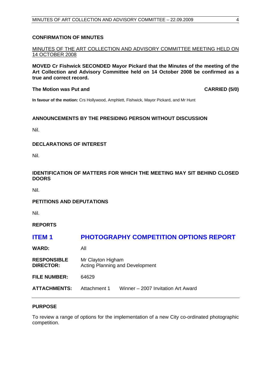## <span id="page-3-0"></span>**CONFIRMATION OF MINUTES**

MINUTES OF THE ART COLLECTION AND ADVISORY COMMITTEE MEETING HELD ON 14 OCTOBER 2008

**MOVED Cr Fishwick SECONDED Mayor Pickard that the Minutes of the meeting of the Art Collection and Advisory Committee held on 14 October 2008 be confirmed as a true and correct record.** 

#### **The Motion was Put and CARRIED (5/0) CARRIED (5/0)**

**In favour of the motion:** Crs Hollywood, Amphlett, Fishwick, Mayor Pickard, and Mr Hunt

# **ANNOUNCEMENTS BY THE PRESIDING PERSON WITHOUT DISCUSSION**

Nil.

### **DECLARATIONS OF INTEREST**

Nil.

# **IDENTIFICATION OF MATTERS FOR WHICH THE MEETING MAY SIT BEHIND CLOSED DOORS**

Nil.

### **PETITIONS AND DEPUTATIONS**

Nil.

**REPORTS** 

# **ITEM 1 PHOTOGRAPHY COMPETITION OPTIONS REPORT**

**WARD:** All

**RESPONSIBLE** Mr Clayton Higham **DIRECTOR:** Acting Planning and Development **FILE NUMBER:** 64629

**ATTACHMENTS:** Attachment 1 Winner – 2007 Invitation Art Award

### **PURPOSE**

To review a range of options for the implementation of a new City co-ordinated photographic competition.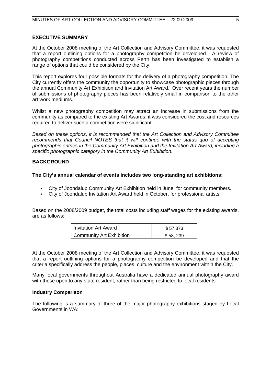## **EXECUTIVE SUMMARY**

At the October 2008 meeting of the Art Collection and Advisory Committee, it was requested that a report outlining options for a photography competition be developed. A review of photography competitions conducted across Perth has been investigated to establish a range of options that could be considered by the City.

This report explores four possible formats for the delivery of a photography competition. The City currently offers the community the opportunity to showcase photographic pieces through the annual Community Art Exhibition and Invitation Art Award. Over recent years the number of submissions of photography pieces has been relatively small in comparison to the other art work mediums.

Whilst a new photography competition may attract an increase in submissions from the community as compared to the existing Art Awards, it was considered the cost and resources required to deliver such a competition were significant.

*Based on these options, it is recommended that the Art Collection and Advisory Committee recommends that Council NOTES that it will continue with the status quo of accepting photographic entries in the Community Art Exhibition and the Invitation Art Award, including a specific photographic category in the Community Art Exhibition.* 

# **BACKGROUND**

# **The City's annual calendar of events includes two long-standing art exhibitions:**

- City of Joondalup Community Art Exhibition held in June, for community members.
- City of Joondalup Invitation Art Award held in October, for professional artists.

Based on the 2008/2009 budget, the total costs including staff wages for the existing awards, are as follows:

| Invitation Art Award     | \$57.373 |
|--------------------------|----------|
| Community Art Exhibition | \$58,239 |

At the October 2008 meeting of the Art Collection and Advisory Committee, it was requested that a report outlining options for a photography competition be developed and that the criteria specifically address the people, places, culture and the environment within the City.

Many local governments throughout Australia have a dedicated annual photography award with these open to any state resident, rather than being restricted to local residents.

### **Industry Comparison**

The following is a summary of three of the major photography exhibitions staged by Local Governments in WA: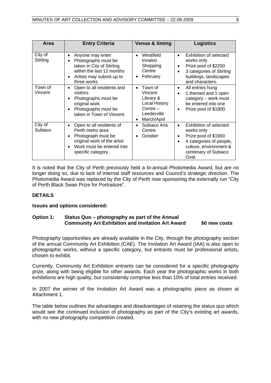| Area                | <b>Entry Criteria</b>                                                                                                                                                                       | Venue & timing                                                                                                   | <b>Logistics</b>                                                                                                                                                                          |
|---------------------|---------------------------------------------------------------------------------------------------------------------------------------------------------------------------------------------|------------------------------------------------------------------------------------------------------------------|-------------------------------------------------------------------------------------------------------------------------------------------------------------------------------------------|
| City of<br>Stirling | Anyone may enter<br>٠<br>Photographs must be<br>$\bullet$<br>taken in City of Stirling<br>within the last 12 months<br>Artists may submit up to<br>٠<br>three works                         | Westfield<br>$\bullet$<br>Innaloo<br>Shopping<br>Centre<br>February                                              | Exhibition of selected<br>$\bullet$<br>works only<br>Prize pool of \$2250<br>$\bullet$<br>3 categories of Stirling<br>$\bullet$<br>buildings, landscapes<br>and characters.               |
| Town of<br>Vincent  | Open to all residents and<br>$\bullet$<br>visitors<br>Photographs must be<br>$\bullet$<br>original work<br>Photographs must be<br>$\bullet$<br>taken in Town of Vincent.                    | Town of<br>Vincent<br>Library &<br><b>Local History</b><br>$Centre -$<br>Leederville<br>March/April<br>$\bullet$ | All entries hung<br>$\bullet$<br>1 themed and 1 open<br>$\bullet$<br>category - work must<br>be entered into one<br>Prize pool of \$1900.<br>$\bullet$                                    |
| City of<br>Subiaco  | Open to all residents of<br>$\bullet$<br>Perth metro area<br>Photograph must be<br>$\bullet$<br>original work of the artist<br>Work must be entered into<br>$\bullet$<br>specific category. | Subiaco Arts<br>Centre<br>October                                                                                | Exhibition of selected<br>$\bullet$<br>works only<br>Prize pool of \$1900<br>$\bullet$<br>4 categories of people,<br>$\bullet$<br>culture, environment &<br>centenary of Subiaco<br>Oval. |

It is noted that the City of Perth previously held a bi-annual Photomedia Award, but are no longer doing so, due to lack of internal staff resources and Council's strategic direction. The Photomedia Award was replaced by the City of Perth now sponsoring the externally run "City of Perth Black Swan Prize for Portraiture".

# **DETAILS**

### **Issues and options considered:**

# **Option 1: Status Quo – photography as part of the Annual Community Art Exhibition and Invitation Art Award \$0 new costs**

Photography opportunities are already available in the City, through the photography section of the annual Community Art Exhibition (CAE). The Invitation Art Award (IAA) is also open to photographic works, without a specific category, but entrants must be professional artists, chosen to exhibit.

Currently, Community Art Exhibition entrants can be considered for a specific photography prize, along with being eligible for other awards. Each year the photographic works in both exhibitions are high quality, but consistently comprise less than 10% of total entries received.

In 2007 the winner of the Invitation Art Award was a photographic piece as shown at Attachment 1.

The table below outlines the advantages and disadvantages of retaining the status quo which would see the continued inclusion of photography as part of the City's existing art awards, with no new photography competition created.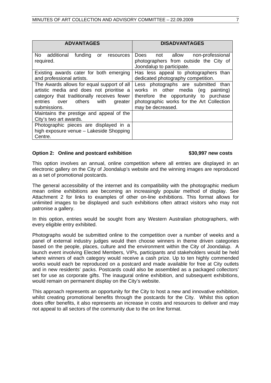| <b>ADVANTAGES</b>                                                                                                                                                                              | <b>DISADVANTAGES</b>                                                                                                                                                                    |  |  |
|------------------------------------------------------------------------------------------------------------------------------------------------------------------------------------------------|-----------------------------------------------------------------------------------------------------------------------------------------------------------------------------------------|--|--|
| No additional<br>funding<br>or<br>resources<br>required.                                                                                                                                       | Does not allow<br>non-professional<br>photographers from outside the City of<br>Joondalup to participate.                                                                               |  |  |
| Existing awards cater for both emerging<br>and professional artists.                                                                                                                           | Has less appeal to photographers than<br>dedicated photography competition.                                                                                                             |  |  |
| The Awards allows for equal support of all<br>artistic media and does not prioritise a<br>category that traditionally receives fewer<br>entries over others<br>with<br>greater<br>submissions. | Less photographs are submitted than<br>works in other media (eg<br>painting)<br>therefore the opportunity to purchase<br>photographic works for the Art Collection<br>may be decreased. |  |  |
| Maintains the prestige and appeal of the<br>City's two art awards.                                                                                                                             |                                                                                                                                                                                         |  |  |
| Photographic pieces are displayed in a<br>high exposure venue - Lakeside Shopping<br>Centre.                                                                                                   |                                                                                                                                                                                         |  |  |

# **Option 2: Online and postcard exhibition \$30,997 new costs**

This option involves an annual, online competition where all entries are displayed in an electronic gallery on the City of Joondalup's website and the winning images are reproduced as a set of promotional postcards.

The general accessibility of the internet and its compatibility with the photographic medium mean online exhibitions are becoming an increasingly popular method of display. See Attachment 2 for links to examples of other on-line exhibitions. This format allows for unlimited images to be displayed and such exhibitions often attract visitors who may not patronise a gallery.

In this option, entries would be sought from any Western Australian photographers, with every eligible entry exhibited.

Photographs would be submitted online to the competition over a number of weeks and a panel of external industry judges would then choose winners in theme driven categories based on the people, places, culture and the environment within the City of Joondalup. A launch event involving Elected Members, VIPs, participants and stakeholders would be held where winners of each category would receive a cash prize. Up to ten highly commended works would each be reproduced on a postcard and made available for free at City outlets and in new residents' packs. Postcards could also be assembled as a packaged collectors' set for use as corporate gifts. The inaugural online exhibition, and subsequent exhibitions, would remain on permanent display on the City's website.

This approach represents an opportunity for the City to host a new and innovative exhibition, whilst creating promotional benefits through the postcards for the City. Whilst this option does offer benefits, it also represents an increase in costs and resources to deliver and may not appeal to all sectors of the community due to the on line format.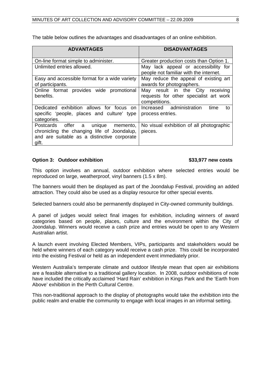| <b>ADVANTAGES</b>                                                                                                                                     | <b>DISADVANTAGES</b>                                                                           |  |  |
|-------------------------------------------------------------------------------------------------------------------------------------------------------|------------------------------------------------------------------------------------------------|--|--|
| On-line format simple to administer.                                                                                                                  | Greater production costs than Option 1.                                                        |  |  |
| Unlimited entries allowed.                                                                                                                            | May lack appeal or accessibility for<br>people not familiar with the internet.                 |  |  |
| Easy and accessible format for a wide variety<br>of participants.                                                                                     | May reduce the appeal of existing art<br>awards for photographers.                             |  |  |
| Online format provides wide promotional<br>benefits.                                                                                                  | May result in the City<br>receiving<br>requests for other specialist art work<br>competitions. |  |  |
| Dedicated exhibition allows for focus on<br>specific 'people, places and culture' type<br>categories.                                                 | Increased administration<br>time<br>to<br>process entries.                                     |  |  |
| <b>Postcards</b><br>offer a unique<br>memento,<br>chronicling the changing life of Joondalup,<br>and are suitable as a distinctive corporate<br>gift. | No visual exhibition of all photographic<br>pieces.                                            |  |  |

The table below outlines the advantages and disadvantages of an online exhibition.

# **Option 3: Outdoor exhibition 6. All Contracts 10. All Contracts 10. All Contracts 10. All Contracts 10. All Contracts 10. All Contracts 10. All Contracts 10. All Contracts 10. All Contracts 10. All Contracts 10. All Contr**

This option involves an annual, outdoor exhibition where selected entries would be reproduced on large, weatherproof, vinyl banners (1.5 x 8m).

The banners would then be displayed as part of the Joondalup Festival, providing an added attraction. They could also be used as a display resource for other special events.

Selected banners could also be permanently displayed in City-owned community buildings.

A panel of judges would select final images for exhibition, including winners of award categories based on people, places, culture and the environment within the City of Joondalup. Winners would receive a cash prize and entries would be open to any Western Australian artist.

A launch event involving Elected Members, VIPs, participants and stakeholders would be held where winners of each category would receive a cash prize. This could be incorporated into the existing Festival or held as an independent event immediately prior.

Western Australia's temperate climate and outdoor lifestyle mean that open air exhibitions are a feasible alternative to a traditional gallery location. In 2008, outdoor exhibitions of note have included the critically acclaimed 'Hard Rain' exhibition in Kings Park and the 'Earth from Above' exhibition in the Perth Cultural Centre.

This non-traditional approach to the display of photographs would take the exhibition into the public realm and enable the community to engage with local images in an informal setting.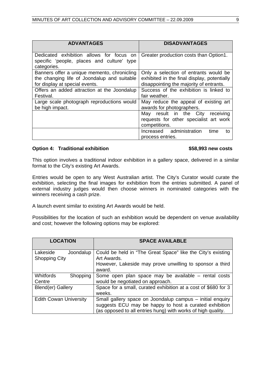| <b>ADVANTAGES</b>                                                                                                            | <b>DISADVANTAGES</b>                                                                                                            |  |  |
|------------------------------------------------------------------------------------------------------------------------------|---------------------------------------------------------------------------------------------------------------------------------|--|--|
| Dedicated exhibition allows for focus on<br>specific 'people, places and culture' type<br>categories.                        | Greater production costs than Option1.                                                                                          |  |  |
| Banners offer a unique memento, chronicling<br>the changing life of Joondalup and suitable<br>for display at special events. | Only a selection of entrants would be<br>exhibited in the final display, potentially<br>disappointing the majority of entrants. |  |  |
| Offers an added attraction at the Joondalup<br>Festival.                                                                     | Success of the exhibition is linked to<br>fair weather.                                                                         |  |  |
| Large scale photograph reproductions would<br>be high impact.                                                                | May reduce the appeal of existing art<br>awards for photographers.                                                              |  |  |
|                                                                                                                              | receiving<br>May result in the City<br>requests for other specialist art work<br>competitions.                                  |  |  |
|                                                                                                                              | Increased administration<br>time<br>to<br>process entries.                                                                      |  |  |

# **Option 4: Traditional exhibition <b>\$58,993** new costs

This option involves a traditional indoor exhibition in a gallery space, delivered in a similar format to the City's existing Art Awards.

Entries would be open to any West Australian artist. The City's Curator would curate the exhibition, selecting the final images for exhibition from the entries submitted. A panel of external industry judges would then choose winners in nominated categories with the winners receiving a cash prize.

A launch event similar to existing Art Awards would be held.

Possibilities for the location of such an exhibition would be dependent on venue availability and cost; however the following options may be explored:

| <b>LOCATION</b>                               | <b>SPACE AVAILABLE</b>                                                                                                                                                              |  |  |
|-----------------------------------------------|-------------------------------------------------------------------------------------------------------------------------------------------------------------------------------------|--|--|
| Lakeside<br>Joondalup<br><b>Shopping City</b> | Could be held in "The Great Space" like the City's existing<br>Art Awards.<br>However, Lakeside may prove unwilling to sponsor a third<br>award.                                    |  |  |
| <b>Whitfords</b><br>Shopping<br>Centre        | Some open plan space may be available - rental costs<br>would be negotiated on approach.                                                                                            |  |  |
| Blend(er) Gallery                             | Space for a small, curated exhibition at a cost of \$680 for 3<br>weeks.                                                                                                            |  |  |
| <b>Edith Cowan University</b>                 | Small gallery space on Joondalup campus – initial enquiry<br>suggests ECU may be happy to host a curated exhibition<br>(as opposed to all entries hung) with works of high quality. |  |  |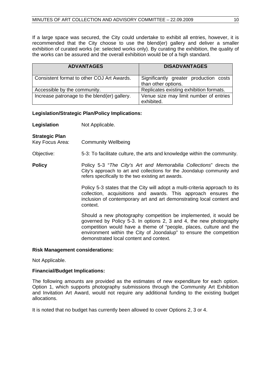If a large space was secured, the City could undertake to exhibit all entries, however, it is recommended that the City choose to use the blend(er) gallery and deliver a smaller exhibition of curated works (ie: selected works only). By curating the exhibition, the quality of the works can be assured and the overall exhibition would be of a high standard.

| <b>ADVANTAGES</b>                            | <b>DISADVANTAGES</b>                                          |
|----------------------------------------------|---------------------------------------------------------------|
| Consistent format to other COJ Art Awards.   | Significantly greater production costs<br>than other options. |
| Accessible by the community.                 | Replicates existing exhibition formats.                       |
| Increase patronage to the blend(er) gallery. | Venue size may limit number of entries<br>exhibited.          |

# **Legislation/Strategic Plan/Policy Implications:**

| Legislation                       | Not Applicable.                                                                                                                                                                                                                                                                                                                |
|-----------------------------------|--------------------------------------------------------------------------------------------------------------------------------------------------------------------------------------------------------------------------------------------------------------------------------------------------------------------------------|
| Strategic Plan<br>Key Focus Area: | <b>Community Wellbeing</b>                                                                                                                                                                                                                                                                                                     |
| Objective:                        | 5-3: To facilitate culture, the arts and knowledge within the community.                                                                                                                                                                                                                                                       |
| <b>Policy</b>                     | Policy 5-3 "The City's Art and Memorabilia Collections" directs the<br>City's approach to art and collections for the Joondalup community and<br>refers specifically to the two existing art awards.                                                                                                                           |
|                                   | Policy 5-3 states that the City will adopt a multi-criteria approach to its<br>collection, acquisitions and awards. This approach ensures the<br>inclusion of contemporary art and art demonstrating local content and<br>context.                                                                                             |
|                                   | Should a new photography competition be implemented, it would be<br>governed by Policy 5-3. In options 2, 3 and 4, the new photography<br>competition would have a theme of "people, places, culture and the<br>environment within the City of Joondalup" to ensure the competition<br>demonstrated local content and context. |

### **Risk Management considerations:**

Not Applicable.

# **Financial/Budget Implications:**

The following amounts are provided as the estimates of new expenditure for each option. Option 1, which supports photography submissions through the Community Art Exhibition and Invitation Art Award, would not require any additional funding to the existing budget allocations.

It is noted that no budget has currently been allowed to cover Options 2, 3 or 4.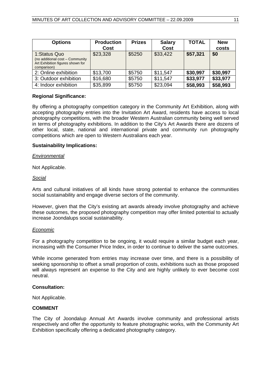| <b>Options</b>                                                                                     | <b>Production</b> | <b>Prizes</b> | <b>Salary</b> | <b>TOTAL</b> | <b>New</b> |
|----------------------------------------------------------------------------------------------------|-------------------|---------------|---------------|--------------|------------|
|                                                                                                    | Cost              |               | Cost          |              | costs      |
| 1:Status Quo<br>(no additional cost - Community<br>Art Exhibition figures shown for<br>comparison) | \$23,328          | \$5250        | \$33,422      | \$57,321     | \$0        |
| 2: Online exhibition                                                                               | \$13,700          | \$5750        | \$11,547      | \$30,997     | \$30,997   |
| 3: Outdoor exhibition                                                                              | \$16,680          | \$5750        | \$11,547      | \$33,977     | \$33,977   |
| 4: Indoor exhibition                                                                               | \$35,899          | \$5750        | \$23,094      | \$58,993     | \$58,993   |

# **Regional Significance:**

By offering a photography competition category in the Community Art Exhibition, along with accepting photography entries into the Invitation Art Award, residents have access to local photography competitions, with the broader Western Australian community being well served in terms of photography exhibitions. In addition to the City's Art Awards there are dozens of other local, state, national and international private and community run photography competitions which are open to Western Australians each year.

# **Sustainability Implications:**

### *Environmental*

Not Applicable.

# *Social*

Arts and cultural initiatives of all kinds have strong potential to enhance the communities social sustainability and engage diverse sectors of the community.

However, given that the City's existing art awards already involve photography and achieve these outcomes, the proposed photography competition may offer limited potential to actually increase Joondalups social sustainability.

### *Economic*

For a photography competition to be ongoing, it would require a similar budget each year, increasing with the Consumer Price Index, in order to continue to deliver the same outcomes.

While income generated from entries may increase over time, and there is a possibility of seeking sponsorship to offset a small proportion of costs, exhibitions such as those proposed will always represent an expense to the City and are highly unlikely to ever become cost neutral.

### **Consultation:**

Not Applicable.

### **COMMENT**

The City of Joondalup Annual Art Awards involve community and professional artists respectively and offer the opportunity to feature photographic works, with the Community Art Exhibition specifically offering a dedicated photography category.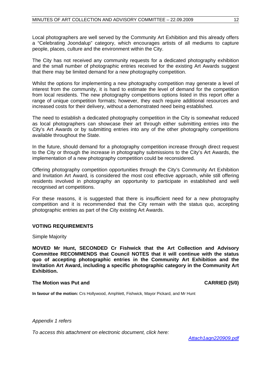Local photographers are well served by the Community Art Exhibition and this already offers a "Celebrating Joondalup" category, which encourages artists of all mediums to capture people, places, culture and the environment within the City.

The City has not received any community requests for a dedicated photography exhibition and the small number of photographic entries received for the existing Art Awards suggest that there may be limited demand for a new photography competition.

Whilst the options for implementing a new photography competition may generate a level of interest from the community, it is hard to estimate the level of demand for the competition from local residents. The new photography competitions options listed in this report offer a range of unique competition formats; however, they each require additional resources and increased costs for their delivery, without a demonstrated need being established.

The need to establish a dedicated photography competition in the City is somewhat reduced as local photographers can showcase their art through either submitting entries into the City's Art Awards or by submitting entries into any of the other photography competitions available throughout the State.

In the future, should demand for a photography competition increase through direct request to the City or through the increase in photography submissions to the City's Art Awards, the implementation of a new photography competition could be reconsidered.

Offering photography competition opportunities through the City's Community Art Exhibition and Invitation Art Award, is considered the most cost effective approach, while still offering residents involved in photography an opportunity to participate in established and well recognised art competitions.

For these reasons, it is suggested that there is insufficient need for a new photography competition and it is recommended that the City remain with the status quo, accepting photographic entries as part of the City existing Art Awards.

# **VOTING REQUIREMENTS**

Simple Majority

**MOVED Mr Hunt, SECONDED Cr Fishwick that the Art Collection and Advisory Committee RECOMMENDS that Council NOTES that it will continue with the status quo of accepting photographic entries in the Community Art Exhibition and the Invitation Art Award, including a specific photographic category in the Community Art Exhibition.** 

### **The Motion was Put and CARRIED (5/0) CARRIED (5/0)**

**In favour of the motion:** Crs Hollywood, Amphlett, Fishwick, Mayor Pickard, and Mr Hunt

*Appendix 1 refers* 

*To access this attachment on electronic document, click here:* 

 *<Attach1agn220909.pdf>*